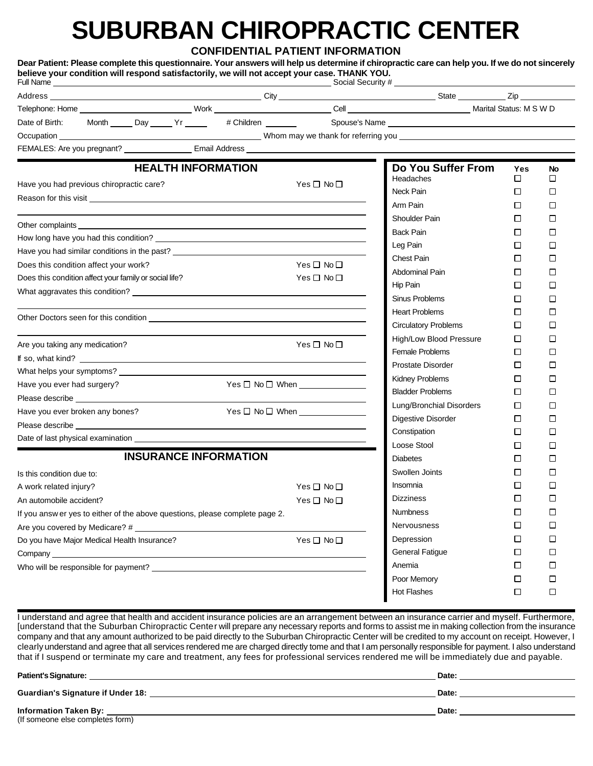## **SUBURBAN CHIROPRACTIC CENTER**

**CONFIDENTIAL PATIENT INFORMATION**

| believe your condition will respond satisfactorily, we will not accept your case. THANK YOU.                                                                                                                                   |                 |                              |        |                                                          | Dear Patient: Please complete this questionnaire. Your answers will help us determine if chiropractic care can help you. If we do not sincerely |              |         |  |
|--------------------------------------------------------------------------------------------------------------------------------------------------------------------------------------------------------------------------------|-----------------|------------------------------|--------|----------------------------------------------------------|-------------------------------------------------------------------------------------------------------------------------------------------------|--------------|---------|--|
|                                                                                                                                                                                                                                |                 |                              |        |                                                          |                                                                                                                                                 |              |         |  |
|                                                                                                                                                                                                                                |                 |                              |        |                                                          |                                                                                                                                                 |              |         |  |
|                                                                                                                                                                                                                                |                 |                              |        |                                                          |                                                                                                                                                 |              |         |  |
|                                                                                                                                                                                                                                |                 |                              |        |                                                          |                                                                                                                                                 |              |         |  |
| FEMALES: Are you pregnant? ___________________ Email Address ____________________                                                                                                                                              |                 |                              |        |                                                          |                                                                                                                                                 |              |         |  |
|                                                                                                                                                                                                                                |                 | <b>HEALTH INFORMATION</b>    |        | Yes $\Box$ No $\Box$                                     | Do You Suffer From<br>Headaches                                                                                                                 | Yes<br>□     | No<br>П |  |
| Have you had previous chiropractic care?                                                                                                                                                                                       |                 |                              |        | Neck Pain                                                | $\Box$                                                                                                                                          | l 1          |         |  |
| Reason for this visit <u>the contract of the contract of the contract of the contract of the contract of</u>                                                                                                                   |                 |                              |        |                                                          | Arm Pain                                                                                                                                        | П            | П       |  |
|                                                                                                                                                                                                                                |                 |                              |        |                                                          | Shoulder Pain                                                                                                                                   | П            | П       |  |
|                                                                                                                                                                                                                                |                 |                              |        |                                                          | <b>Back Pain</b>                                                                                                                                | $\mathbf{1}$ | П       |  |
|                                                                                                                                                                                                                                |                 |                              |        |                                                          | Leg Pain                                                                                                                                        | $\Box$       | П       |  |
| Have you had similar conditions in the past? ___________________________________                                                                                                                                               |                 |                              |        |                                                          | Chest Pain                                                                                                                                      | П            | П       |  |
| Does this condition affect your work?                                                                                                                                                                                          |                 |                              |        | Yes $\square$ No $\square$<br>Yes $\square$ No $\square$ | Abdominal Pain                                                                                                                                  | П            | l 1     |  |
| Does this condition affect your family or social life?                                                                                                                                                                         |                 |                              |        |                                                          | Hip Pain                                                                                                                                        | П            | П       |  |
|                                                                                                                                                                                                                                |                 |                              |        |                                                          | Sinus Problems                                                                                                                                  | П            | П       |  |
|                                                                                                                                                                                                                                |                 |                              |        |                                                          | <b>Heart Problems</b>                                                                                                                           | $\Box$       | П       |  |
|                                                                                                                                                                                                                                |                 |                              |        |                                                          | <b>Circulatory Problems</b>                                                                                                                     | $\Box$       | П       |  |
| Are you taking any medication?                                                                                                                                                                                                 |                 |                              |        | $Yes \Box No \Box$                                       | High/Low Blood Pressure                                                                                                                         | $\Box$       | П       |  |
|                                                                                                                                                                                                                                |                 |                              |        |                                                          | Female Problems                                                                                                                                 | $\Box$       | П       |  |
|                                                                                                                                                                                                                                |                 |                              |        |                                                          | Prostate Disorder                                                                                                                               | $\Box$       | П       |  |
| Have you ever had surgery?                                                                                                                                                                                                     |                 |                              |        | $Yes \Box No \Box$ When                                  | Kidney Problems                                                                                                                                 | $\Box$       | П       |  |
| Please describe <b>National Please</b>                                                                                                                                                                                         |                 |                              |        |                                                          | <b>Bladder Problems</b>                                                                                                                         | П            | П       |  |
| Have you ever broken any bones?                                                                                                                                                                                                |                 |                              |        |                                                          | Lung/Bronchial Disorders                                                                                                                        | $\Box$       | П       |  |
| Please describe and the state of the state of the state of the state of the state of the state of the state of the state of the state of the state of the state of the state of the state of the state of the state of the sta |                 |                              |        |                                                          | Digestive Disorder                                                                                                                              | $\Box$       | П       |  |
|                                                                                                                                                                                                                                |                 |                              |        |                                                          | Constipation                                                                                                                                    | П            | П       |  |
|                                                                                                                                                                                                                                |                 |                              |        |                                                          | Loose Stool                                                                                                                                     | $\Box$       | П       |  |
|                                                                                                                                                                                                                                |                 | <b>INSURANCE INFORMATION</b> |        |                                                          | <b>Diabetes</b>                                                                                                                                 | $\mathsf{L}$ | l 1     |  |
| Is this condition due to:                                                                                                                                                                                                      |                 |                              |        |                                                          | Swollen Joints                                                                                                                                  | П            | П       |  |
| A work related injury?                                                                                                                                                                                                         |                 |                              |        | Yes □ No □                                               | Insomnia                                                                                                                                        | П            | $\Box$  |  |
| An automobile accident?                                                                                                                                                                                                        |                 |                              |        | Yes□No□                                                  | <b>Dizziness</b>                                                                                                                                | □            | □       |  |
| If you answ er yes to either of the above questions, please complete page 2.                                                                                                                                                   | <b>Numbness</b> | $\Box$                       | $\Box$ |                                                          |                                                                                                                                                 |              |         |  |
| Are you covered by Medicare? #                                                                                                                                                                                                 |                 |                              |        |                                                          | <b>Nervousness</b>                                                                                                                              | $\Box$       | $\Box$  |  |
| Do you have Major Medical Health Insurance?                                                                                                                                                                                    |                 |                              |        | Yes □ No□                                                | Depression                                                                                                                                      | $\Box$       | $\Box$  |  |
|                                                                                                                                                                                                                                |                 |                              |        |                                                          | <b>General Fatigue</b>                                                                                                                          | □            | □       |  |
| Who will be responsible for payment? Letter that the control of the control of the control of the control of the control of the control of the control of the control of the control of the control of the control of the cont |                 |                              |        |                                                          | Anemia                                                                                                                                          | $\Box$       | $\Box$  |  |
|                                                                                                                                                                                                                                |                 |                              |        |                                                          | Poor Memory                                                                                                                                     | $\Box$       | □       |  |
|                                                                                                                                                                                                                                |                 |                              |        |                                                          | Hot Flashes                                                                                                                                     | □            | $\Box$  |  |

I understand and agree that health and accident insurance policies are an arrangement between an insurance carrier and myself. Furthermore, [understand that the Suburban Chiropractic Center will prepare any necessary reports and forms to assist me in making collection from the insurance company and that any amount authorized to be paid directly to the Suburban Chiropractic Center will be credited to my account on receipt. However, I clearly understand and agree that all services rendered me are charged directly tome and that I am personally responsible for payment. I also understand that if I suspend or terminate my care and treatment, any fees for professional services rendered me will be immediately due and payable.

| <b>Patient's Signature:</b>                                      | Date: |
|------------------------------------------------------------------|-------|
| <b>Guardian's Signature if Under 18:</b>                         | Date: |
| <b>Information Taken By:</b><br>(If someone else completes form) | Date: |